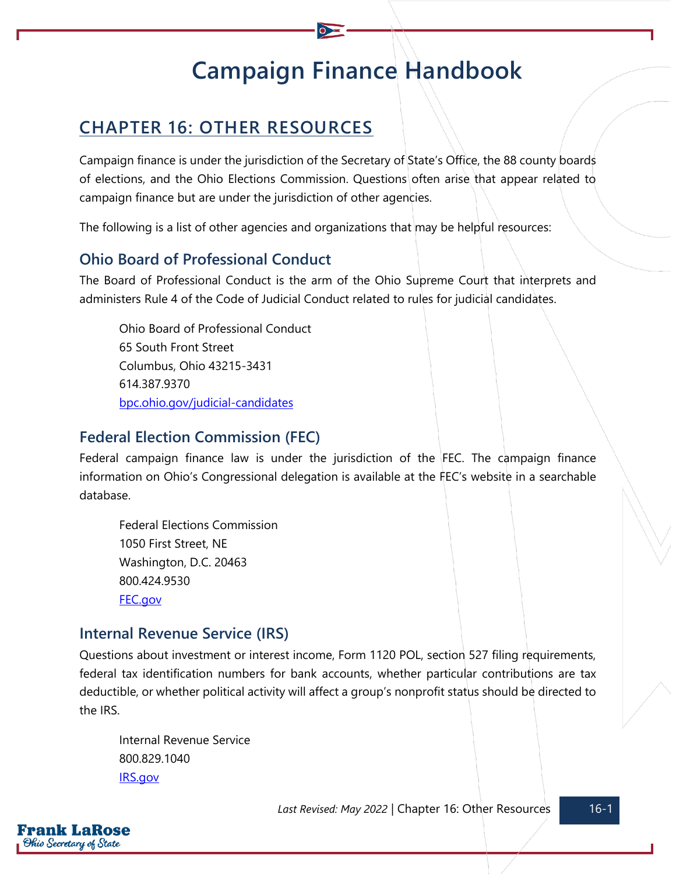# **Campaign Finance Handbook**

# **CHAPTER 16: OTHER RESOURCES**

Campaign finance is under the jurisdiction of the Secretary of State's Office, the 88 county boards of elections, and the Ohio Elections Commission. Questions often arise that appear related to campaign finance but are under the jurisdiction of other agencies.

The following is a list of other agencies and organizations that may be helpful resources:

# **Ohio Board of Professional Conduct**

The Board of Professional Conduct is the arm of the Ohio Supreme Court that interprets and administers Rule 4 of the Code of Judicial Conduct related to rules for judicial candidates.

Ohio Board of Professional Conduct 65 South Front Street Columbus, Ohio 43215-3431 614.387.9370 [bpc.ohio.gov/judicial-candidates](https://www.bpc.ohio.gov/judicial-candidates)

#### **Federal Election Commission (FEC)**

Federal campaign finance law is under the jurisdiction of the FEC. The campaign finance information on Ohio's Congressional delegation is available at the FEC's website in a searchable database.

Federal Elections Commission 1050 First Street, NE Washington, D.C. 20463 800.424.9530 [FEC.gov](https://www.fec.gov/)

#### **Internal Revenue Service (IRS)**

Questions about investment or interest income, Form 1120 POL, section 527 filing requirements, federal tax identification numbers for bank accounts, whether particular contributions are tax deductible, or whether political activity will affect a group's nonprofit status should be directed to the IRS.

Internal Revenue Service 800.829.1040 [IRS.gov](https://www.irs.gov/)

Last Revised: May 2022 | Chapter 16: Other Resources 16-1

rank LaRose Ohio Secretary of State